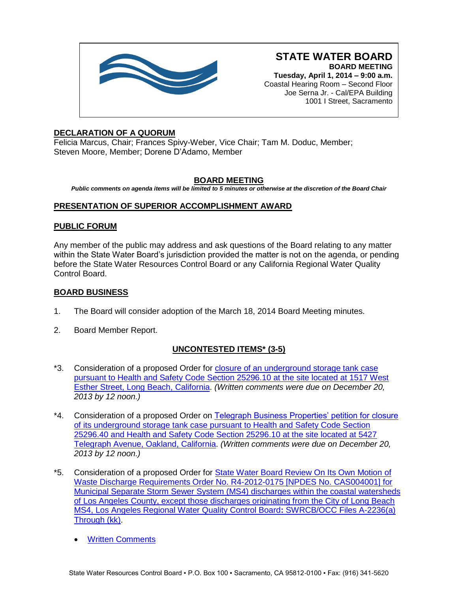

**Tuesday, April 1, 2014 – 9:00 a.m.** Coastal Hearing Room – Second Floor Joe Serna Jr. - Cal/EPA Building 1001 I Street, Sacramento

# **DECLARATION OF A QUORUM**

Felicia Marcus, Chair; Frances Spivy-Weber, Vice Chair; Tam M. Doduc, Member; Steven Moore, Member; Dorene D'Adamo, Member

# **BOARD MEETING**

*Public comments on agenda items will be limited to 5 minutes or otherwise at the discretion of the Board Chair*

# **PRESENTATION OF SUPERIOR ACCOMPLISHMENT AWARD**

# **PUBLIC FORUM**

Any member of the public may address and ask questions of the Board relating to any matter within the State Water Board's jurisdiction provided the matter is not on the agenda, or pending before the State Water Resources Control Board or any California Regional Water Quality Control Board.

# **BOARD BUSINESS**

- 1. The Board will consider adoption of the March 18, 2014 Board Meeting minutes.
- 2. Board Member Report.

# **UNCONTESTED ITEMS\* (3-5)**

- \*3. Consideration of a proposed Order for [closure of an underground storage tank case](http://www.waterboards.ca.gov/board_info/agendas/2014/apr/040114_3_withdo.pdf)  [pursuant to Health and Safety Code Section 25296.10 at the site located at 1517 West](http://www.waterboards.ca.gov/board_info/agendas/2014/apr/040114_3_withdo.pdf)  [Esther Street, Long Beach, California.](http://www.waterboards.ca.gov/board_info/agendas/2014/apr/040114_3_withdo.pdf) *(Written comments were due on December 20, 2013 by 12 noon.)*
- \*4. Consideration of a proposed Order on Telegraph Business Properties' petition for closure [of its underground storage tank case pursuant to Health and Safety Code Section](http://www.waterboards.ca.gov/board_info/agendas/2014/apr/040114_4_withdo.pdf)  [25296.40 and Health and Safety Code Section 25296.10 at the site located at 5427](http://www.waterboards.ca.gov/board_info/agendas/2014/apr/040114_4_withdo.pdf)  [Telegraph Avenue, Oakland, California.](http://www.waterboards.ca.gov/board_info/agendas/2014/apr/040114_4_withdo.pdf) *(Written comments were due on December 20, 2013 by 12 noon.)*
- \*5. Consideration of a proposed Order for [State Water Board Review On Its Own Motion of](http://www.waterboards.ca.gov/board_info/agendas/2014/apr/040114_5_withdo.pdf)  Waste [Discharge Requirements Order No. R4-2012-0175 \[NPDES No. CAS004001\] for](http://www.waterboards.ca.gov/board_info/agendas/2014/apr/040114_5_withdo.pdf)  [Municipal Separate Storm Sewer System \(MS4\) discharges](http://www.waterboards.ca.gov/board_info/agendas/2014/apr/040114_5_withdo.pdf) within the coastal watersheds [of Los Angeles County, except those discharges originating from the City of Long Beach](http://www.waterboards.ca.gov/board_info/agendas/2014/apr/040114_5_withdo.pdf)  [MS4, Los Angeles Regional Water Quality Control Board](http://www.waterboards.ca.gov/board_info/agendas/2014/apr/040114_5_withdo.pdf)**:** SWRCB/OCC Files A-2236(a) [Through \(kk\).](http://www.waterboards.ca.gov/board_info/agendas/2014/apr/040114_5_withdo.pdf)
	- [Written Comments](http://www.waterboards.ca.gov/board_info/agendas/2014/apr/commenters_040114_5.pdf)